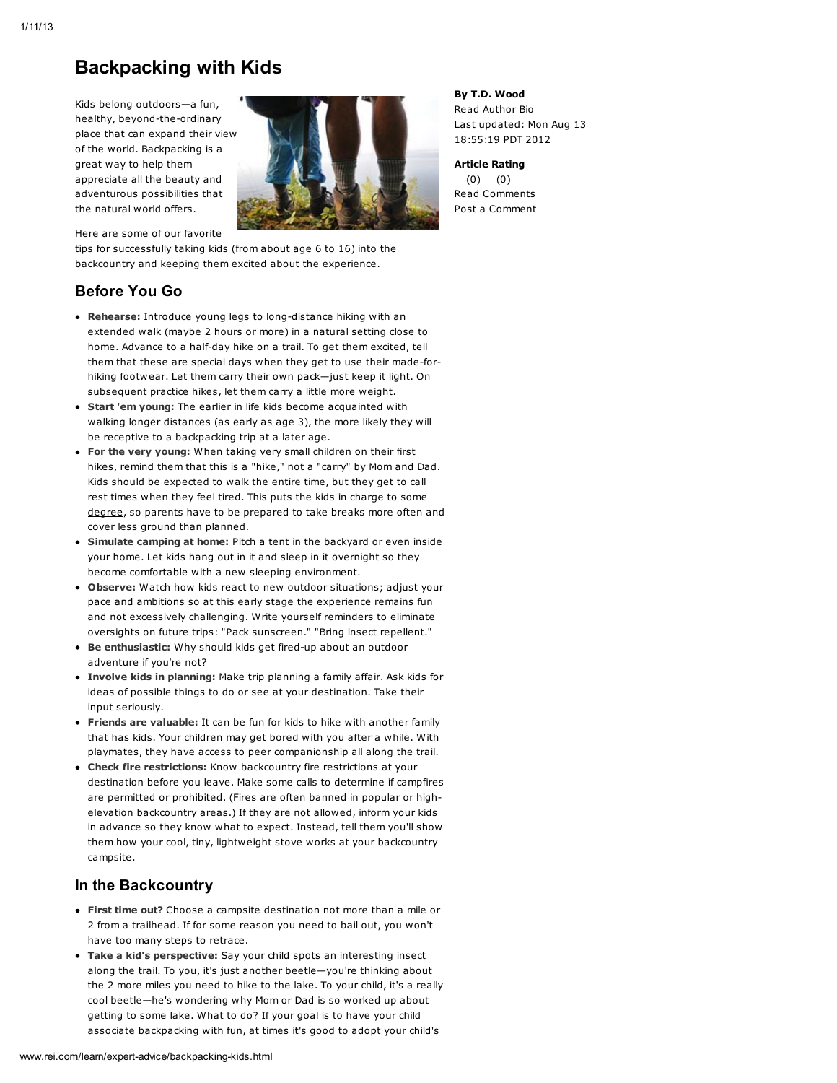# Backpacking with Kids

Kids belong outdoors—a fun, healthy, beyond-the-ordinary place that can expand their view of the world. Backpacking is a great way to help them appreciate all the beauty and adventurous possibilities that the natural world offers.

Here are some of our favorite



tips for successfully taking kids (from about age 6 to 16) into the backcountry and keeping them excited about the experience.

# Before You Go

- Rehearse: Introduce young legs to long-distance hiking with an extended walk (maybe 2 hours or more) in a natural setting close to home. Advance to a half-day hike on a trail. To get them excited, tell them that these are special days when they get to use their made-forhiking footwear. Let them carry their own pack—just keep it light. On subsequent practice hikes, let them carry a little more weight.
- **Start 'em young:** The earlier in life kids become acquainted with walking longer distances (as early as age 3), the more likely they will be receptive to a backpacking trip at a later age.
- For the very young: When taking very small children on their first hikes, remind them that this is a "hike," not a "carry" by Mom and Dad. Kids should be expected to walk the entire time, but they get to call rest times when they feel tired. This puts the kids in charge to some [degree](http://www.rei.com/learn/expert-advice/backpacking-kids.html#), so parents have to be prepared to take breaks more often and cover less ground than planned.
- Simulate camping at home: Pitch a tent in the backyard or even inside your home. Let kids hang out in it and sleep in it overnight so they become comfortable with a new sleeping environment.
- Observe: Watch how kids react to new outdoor situations; adjust your pace and ambitions so at this early stage the experience remains fun and not excessively challenging. Write yourself reminders to eliminate oversights on future trips: "Pack sunscreen." "Bring insect repellent."
- Be enthusiastic: Why should kids get fired-up about an outdoor adventure if you're not?
- **· Involve kids in planning:** Make trip planning a family affair. Ask kids for ideas of possible things to do or see at your destination. Take their input seriously.
- Friends are valuable: It can be fun for kids to hike with another family that has kids. Your children may get bored with you after a while. With playmates, they have access to peer companionship all along the trail.
- Check fire restrictions: Know backcountry fire restrictions at your destination before you leave. Make some calls to determine if campfires are permitted or prohibited. (Fires are often banned in popular or highelevation backcountry areas.) If they are not allowed, inform your kids in advance so they know what to expect. Instead, tell them you'll show them how your cool, tiny, lightweight stove works at your backcountry campsite.

# In the Backcountry

- First time out? Choose a campsite destination not more than a mile or 2 from a trailhead. If for some reason you need to bail out, you won't have too many steps to retrace.
- Take a kid's perspective: Say your child spots an interesting insect along the trail. To you, it's just another beetle—you're thinking about the 2 more miles you need to hike to the lake. To your child, it's a really cool beetle—he's wondering why Mom or Dad is so worked up about getting to some lake. What to do? If your goal is to have your child associate backpacking with fun, at times it's good to adopt your child's

By T.D. Wood Read [Author](http://www.rei.com/learn/author-bios/t-d-wood.html) Bio Last updated: Mon Aug 13 18:55:19 PDT 2012

Article Rating (0) (0) Read [Comments](http://www.rei.com/learn/expert-advice/backpacking-kids.html#anchor_comments) Post a [Comment](http://www.rei.com/learn/expert-advice/backpacking-kids.html#anchor_comments)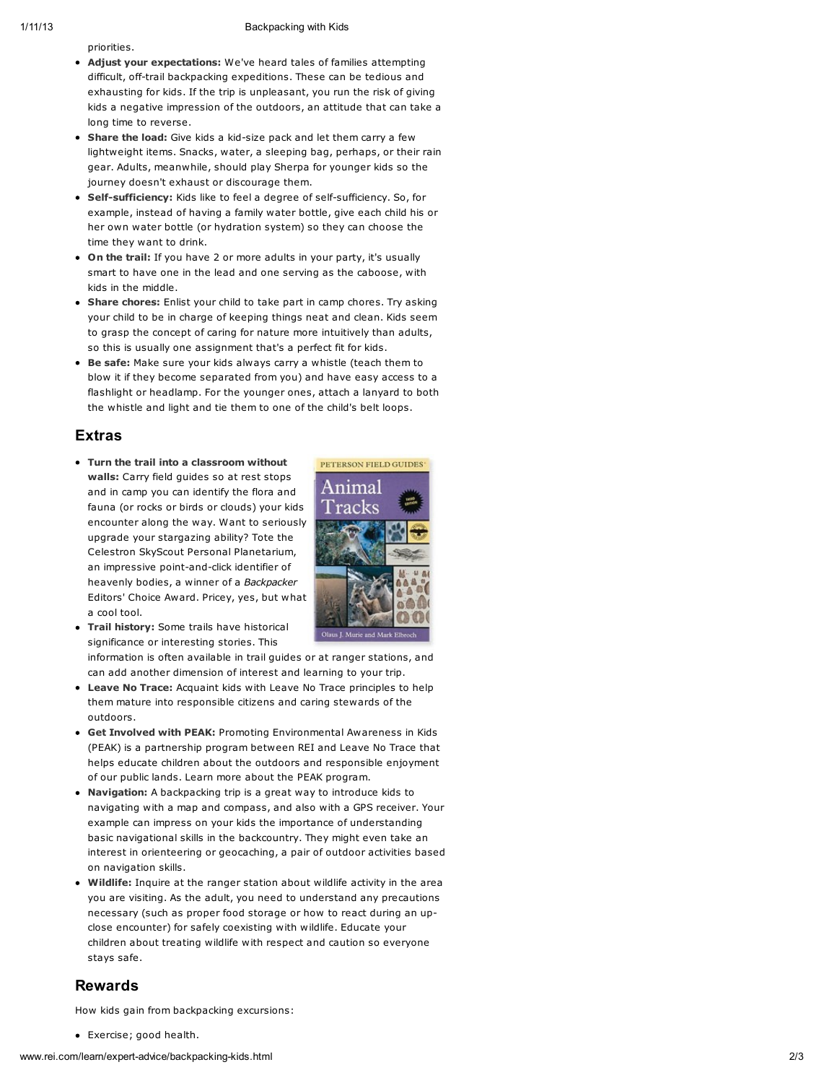#### Backpacking with Kids

p rio ritie s.

- Adjust your expectations: We've heard tales of families attempting difficult, off-trail backpacking expeditions. These can be tedious and exhausting for kids. If the trip is unpleasant, you run the risk of giving kids a negative impression of the outdoors, an attitude that can take a long time to reverse.
- Share the load: Give kids a kid-size pack and let them carry a few lightweight items. Snacks, water, a sleeping bag, perhaps, or their rain gear. Adults, meanwhile, should play Sherpa for younger kids so the journey doesn't exhaust or discourage them.
- Self-sufficiency: Kids like to feel a degree of self-sufficiency. So, for example, instead of having a family water bottle, give each child his or her own water bottle (or hydration system) so they can choose the time they want to drink.
- On the trail: If you have 2 or more adults in your party, it's usually smart to have one in the lead and one serving as the caboose, with kids in the middle.
- Share chores: Enlist your child to take part in camp chores. Try asking your child to be in charge of keeping things neat and clean. Kids seem to grasp the concept of caring for nature more intuitively than adults, so this is usually one assignment that's a perfect fit for kids.
- Be safe: Make sure your kids always carry a whistle (teach them to blow it if they become separated from you) and have easy access to a flashlight or headlamp. For the younger ones, attach a lanyard to both the whistle and light and tie them to one of the child's belt loops.

### Extras

Turn the trail into a classroom without walls: Carry field [guides](http://www.rei.com/category/10566789) so at rest stops and in camp you can identify the flora and fauna (or rocks or birds or clouds) your kids encounter along the way. Want to seriously upgrade your stargazing ability? Tote the Celestron SkyScout Personal [Planetarium,](http://www.rei.com/product/742247) an impressive point-and-click identifier of heavenly bodies, a winner of a Backpacker Editors' Choice Award. Pricey, yes, but what a cool tool.



• Trail history: Some trails have historical significance or interesting stories. This

information is often available in trail guides or at ranger stations, and can add another dimension of interest and learning to your trip.

- Leave No Trace: Acquaint kids with [Leave](http://www.lnt.org/) No Trace principles to help them mature into responsible citizens and caring stewards of the outdoors.
- **Get Involved with PEAK: Promoting Environmental Awareness in Kids** (PEAK) is a partnership program between REI and Leave No Trace that helps educate children about the outdoors and responsible enjoyment of our public lands. Learn more about the PEAK [program.](http://www.rei.com/aboutrei/reikids02.html)
- Navigation: A backpacking trip is a great way to introduce kids to navigating with a map and compass, and also with a GPS receiver. You r example can impress on your kids the importance of understanding basic navigational skills in the backcountry. They might even take an interest in orienteering or geocaching, a pair of outdoor activities ba s e d o n n a vig a tio n s kills.
- $\bullet$ **Wildlife:** Inquire at the ranger station about wildlife activity in the area you are visiting. As the adult, you need to understand any precautions necessary (such as proper food storage or how to react during an upclose encounter) for safely coexisting with wildlife. Educate your children about treating wildlife with respect and caution so everyone stays safe.

### Rewards

How kids gain from backpacking excursions:

Exercise; good health.